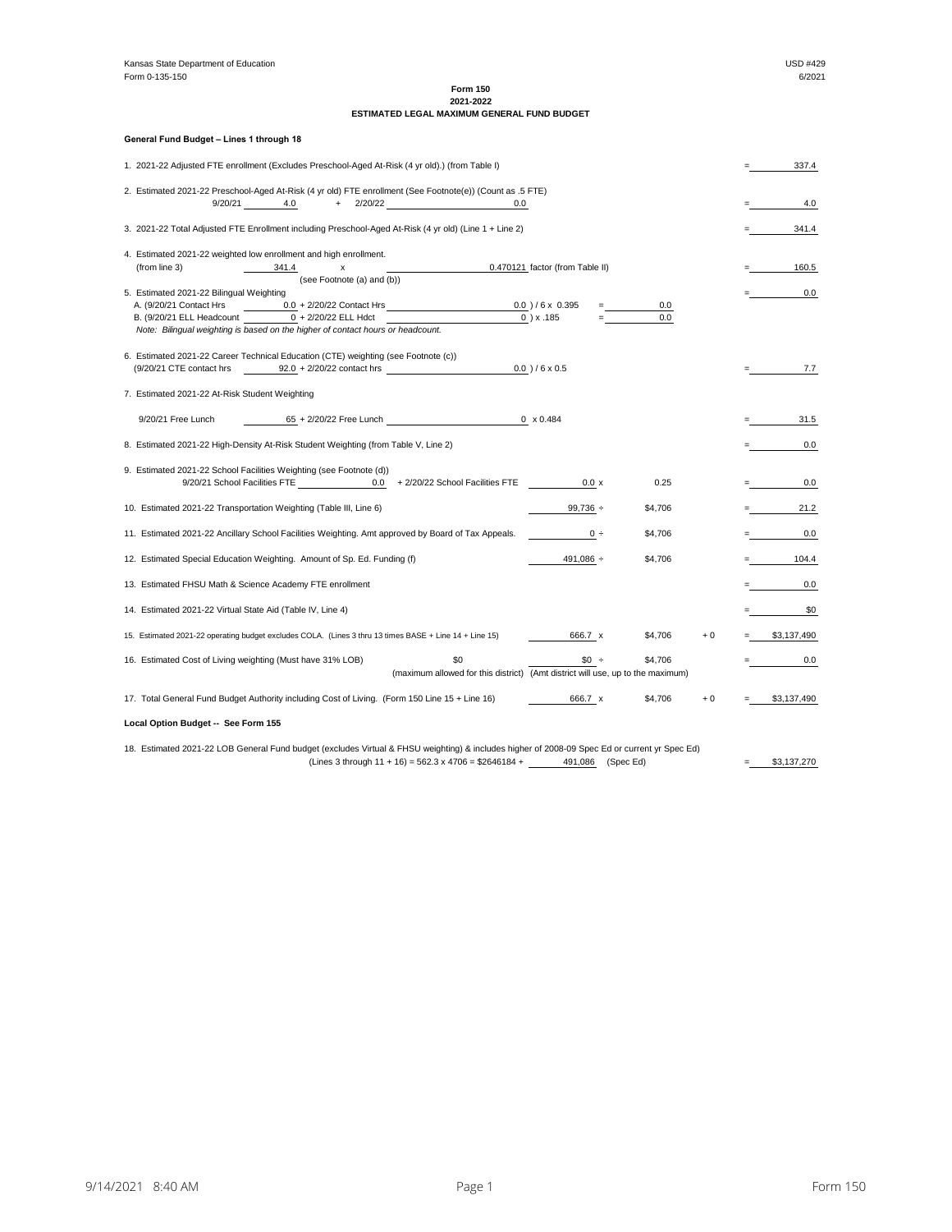# **Form 150 2021-2022**

# **ESTIMATED LEGAL MAXIMUM GENERAL FUND BUDGET**

|                                                                                                  | General Fund Budget - Lines 1 through 18                                                                                                                           |  |                                                    |  |
|--------------------------------------------------------------------------------------------------|--------------------------------------------------------------------------------------------------------------------------------------------------------------------|--|----------------------------------------------------|--|
|                                                                                                  | 1. 2021-22 Adjusted FTE enrollment (Excludes Preschool-Aged At-Risk (4 yr old).) (from Table I)                                                                    |  | 337.4                                              |  |
|                                                                                                  | 2. Estimated 2021-22 Preschool-Aged At-Risk (4 yr old) FTE enrollment (See Footnote(e)) (Count as .5 FTE)                                                          |  |                                                    |  |
|                                                                                                  | $+$ 2/20/22<br>9/20/21<br>4.0<br>0.0                                                                                                                               |  | 4.0                                                |  |
|                                                                                                  | 3. 2021-22 Total Adjusted FTE Enrollment including Preschool-Aged At-Risk (4 yr old) (Line 1 + Line 2)                                                             |  | 341.4                                              |  |
|                                                                                                  | 4. Estimated 2021-22 weighted low enrollment and high enrollment.                                                                                                  |  |                                                    |  |
|                                                                                                  | (from line 3)<br>341.4<br>0.470121 factor (from Table II)<br>x                                                                                                     |  | 160.5                                              |  |
|                                                                                                  | (see Footnote (a) and (b))<br>5. Estimated 2021-22 Bilingual Weighting                                                                                             |  | 0.0                                                |  |
|                                                                                                  | $0.0 + 2/20/22$ Contact Hrs $0.0 + 6 \times 0.395$<br>A. (9/20/21 Contact Hrs<br>0.0                                                                               |  |                                                    |  |
|                                                                                                  | B. (9/20/21 ELL Headcount 0 + 2/20/22 ELL Hdct<br>$0$ ) x .185<br>0.0                                                                                              |  |                                                    |  |
|                                                                                                  | Note: Bilingual weighting is based on the higher of contact hours or headcount.                                                                                    |  |                                                    |  |
|                                                                                                  |                                                                                                                                                                    |  |                                                    |  |
|                                                                                                  | 6. Estimated 2021-22 Career Technical Education (CTE) weighting (see Footnote (c))<br>$(9/20/21$ CTE contact hrs $92.0 + 2/20/22$ contact hrs<br>$0.0$ ) / 6 x 0.5 |  | 7.7                                                |  |
|                                                                                                  |                                                                                                                                                                    |  |                                                    |  |
|                                                                                                  | 7. Estimated 2021-22 At-Risk Student Weighting                                                                                                                     |  |                                                    |  |
|                                                                                                  | 65 + 2/20/22 Free Lunch 0 x 0.484<br>9/20/21 Free Lunch                                                                                                            |  | 31.5                                               |  |
|                                                                                                  | 8. Estimated 2021-22 High-Density At-Risk Student Weighting (from Table V, Line 2)                                                                                 |  | 0.0                                                |  |
|                                                                                                  | 9. Estimated 2021-22 School Facilities Weighting (see Footnote (d))                                                                                                |  |                                                    |  |
|                                                                                                  | 9/20/21 School Facilities FTE 0.0 + 2/20/22 School Facilities FTE<br>0.25<br>0.0 x                                                                                 |  | 0.0<br>mark and the second                         |  |
|                                                                                                  | 10. Estimated 2021-22 Transportation Weighting (Table III, Line 6)<br>$99,736 \div$<br>\$4,706                                                                     |  | 21.2<br>$\blacksquare$ . The set of $\blacksquare$ |  |
|                                                                                                  | 11. Estimated 2021-22 Ancillary School Facilities Weighting. Amt approved by Board of Tax Appeals.<br>\$4,706<br>$0 \div$                                          |  | 0.0                                                |  |
| 491,086 ÷<br>12. Estimated Special Education Weighting. Amount of Sp. Ed. Funding (f)<br>\$4,706 |                                                                                                                                                                    |  |                                                    |  |
|                                                                                                  | 13. Estimated FHSU Math & Science Academy FTE enrollment                                                                                                           |  | 0.0                                                |  |
|                                                                                                  | 14. Estimated 2021-22 Virtual State Aid (Table IV, Line 4)                                                                                                         |  | \$0                                                |  |
|                                                                                                  | 15. Estimated 2021-22 operating budget excludes COLA. (Lines 3 thru 13 times BASE + Line 14 + Line 15)<br>666.7 x<br>\$4,706<br>$+0$                               |  | $=$ \$3,137,490                                    |  |
|                                                                                                  | 16. Estimated Cost of Living weighting (Must have 31% LOB)<br>\$0<br>$$0 +$<br>\$4,706                                                                             |  | 0.0                                                |  |
|                                                                                                  | (maximum allowed for this district) (Amt district will use, up to the maximum)                                                                                     |  |                                                    |  |
|                                                                                                  | 17. Total General Fund Budget Authority including Cost of Living. (Form 150 Line 15 + Line 16)<br>666.7 x<br>\$4,706<br>$+0$                                       |  | \$3,137,490                                        |  |
|                                                                                                  | Local Option Budget -- See Form 155                                                                                                                                |  |                                                    |  |
|                                                                                                  | 18. Estimated 2021-22 LOB General Fund budget (excludes Virtual & FHSU weighting) & includes higher of 2008-09 Spec Ed or current yr Spec Ed)                      |  |                                                    |  |
|                                                                                                  | (Lines 3 through $11 + 16$ ) = 562.3 x 4706 = \$2646184 +<br>491,086 (Spec Ed)                                                                                     |  | \$3,137,270                                        |  |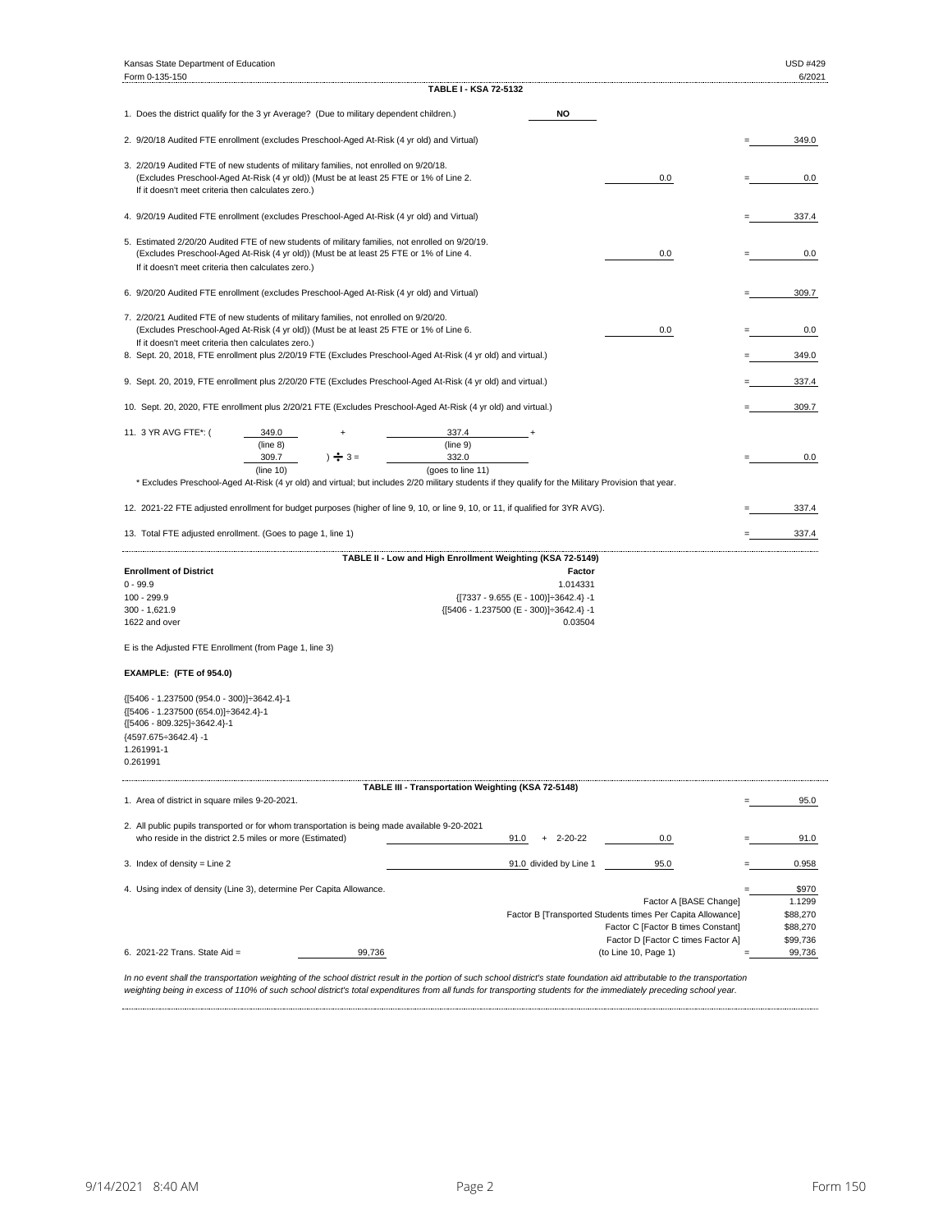| Kansas State Department of Education                                                                                                                                                                                                            |                                                                                                                                                                  |  | <b>USD #429</b>                                     |  |
|-------------------------------------------------------------------------------------------------------------------------------------------------------------------------------------------------------------------------------------------------|------------------------------------------------------------------------------------------------------------------------------------------------------------------|--|-----------------------------------------------------|--|
| Form 0-135-150                                                                                                                                                                                                                                  | TABLE I - KSA 72-5132                                                                                                                                            |  | 6/2021                                              |  |
| 1. Does the district qualify for the 3 yr Average? (Due to military dependent children.)                                                                                                                                                        | <b>NO</b>                                                                                                                                                        |  |                                                     |  |
| 2. 9/20/18 Audited FTE enrollment (excludes Preschool-Aged At-Risk (4 yr old) and Virtual)                                                                                                                                                      |                                                                                                                                                                  |  | 349.0                                               |  |
| 3. 2/20/19 Audited FTE of new students of military families, not enrolled on 9/20/18.<br>(Excludes Preschool-Aged At-Risk (4 yr old)) (Must be at least 25 FTE or 1% of Line 2.<br>If it doesn't meet criteria then calculates zero.)           | 0.0                                                                                                                                                              |  | 0.0                                                 |  |
| 4. 9/20/19 Audited FTE enrollment (excludes Preschool-Aged At-Risk (4 yr old) and Virtual)                                                                                                                                                      |                                                                                                                                                                  |  | 337.4                                               |  |
| 5. Estimated 2/20/20 Audited FTE of new students of military families, not enrolled on 9/20/19.<br>(Excludes Preschool-Aged At-Risk (4 yr old)) (Must be at least 25 FTE or 1% of Line 4.<br>If it doesn't meet criteria then calculates zero.) | 0.0                                                                                                                                                              |  | 0.0                                                 |  |
| 6. 9/20/20 Audited FTE enrollment (excludes Preschool-Aged At-Risk (4 yr old) and Virtual)                                                                                                                                                      |                                                                                                                                                                  |  | 309.7                                               |  |
| 7. 2/20/21 Audited FTE of new students of military families, not enrolled on 9/20/20.<br>(Excludes Preschool-Aged At-Risk (4 yr old)) (Must be at least 25 FTE or 1% of Line 6.<br>0.0<br>If it doesn't meet criteria then calculates zero.)    |                                                                                                                                                                  |  |                                                     |  |
| 8. Sept. 20, 2018, FTE enrollment plus 2/20/19 FTE (Excludes Preschool-Aged At-Risk (4 yr old) and virtual.)                                                                                                                                    |                                                                                                                                                                  |  | 349.0                                               |  |
| 9. Sept. 20, 2019, FTE enrollment plus 2/20/20 FTE (Excludes Preschool-Aged At-Risk (4 yr old) and virtual.)                                                                                                                                    |                                                                                                                                                                  |  | 337.4                                               |  |
| 10. Sept. 20, 2020, FTE enrollment plus 2/20/21 FTE (Excludes Preschool-Aged At-Risk (4 yr old) and virtual.)                                                                                                                                   |                                                                                                                                                                  |  | 309.7                                               |  |
| 11. 3 YR AVG FTE*: (<br>349.0<br>(line 8)<br>309.7<br>$\frac{1}{2}$ 3 =<br>(line 10)                                                                                                                                                            | 337.4<br>(line 9)<br>332.0<br>(goes to line 11)                                                                                                                  |  | 0.0                                                 |  |
|                                                                                                                                                                                                                                                 | * Excludes Preschool-Aged At-Risk (4 yr old) and virtual; but includes 2/20 military students if they qualify for the Military Provision that year.              |  |                                                     |  |
| 12. 2021-22 FTE adjusted enrollment for budget purposes (higher of line 9, 10, or line 9, 10, or 11, if qualified for 3YR AVG).                                                                                                                 |                                                                                                                                                                  |  | 337.4                                               |  |
| 13. Total FTE adjusted enrollment. (Goes to page 1, line 1)                                                                                                                                                                                     |                                                                                                                                                                  |  | 337.4                                               |  |
|                                                                                                                                                                                                                                                 | TABLE II - Low and High Enrollment Weighting (KSA 72-5149)                                                                                                       |  |                                                     |  |
| <b>Enrollment of District</b><br>$0 - 99.9$<br>100 - 299.9<br>300 - 1,621.9<br>1622 and over                                                                                                                                                    | Factor<br>1.014331<br>${ [7337 - 9.655 (E - 100)]}{ \div}3642.4} - 1$<br>{[5406 - 1.237500 (E - 300)] : 3642.4} -1<br>0.03504                                    |  |                                                     |  |
| E is the Adjusted FTE Enrollment (from Page 1, line 3)                                                                                                                                                                                          |                                                                                                                                                                  |  |                                                     |  |
| EXAMPLE: (FTE of 954.0)                                                                                                                                                                                                                         |                                                                                                                                                                  |  |                                                     |  |
| {[5406 - 1.237500 (954.0 - 300)]÷3642.4}-1<br>{[5406 - 1.237500 (654.0)]÷3642.4}-1<br>{[5406 - 809.325]÷3642.4}-1<br>{4597.675÷3642.4}-1<br>1.261991-1<br>0.261991                                                                              |                                                                                                                                                                  |  |                                                     |  |
| 1. Area of district in square miles 9-20-2021.                                                                                                                                                                                                  | TABLE III - Transportation Weighting (KSA 72-5148)                                                                                                               |  | 95.0                                                |  |
| 2. All public pupils transported or for whom transportation is being made available 9-20-2021                                                                                                                                                   |                                                                                                                                                                  |  |                                                     |  |
| who reside in the district 2.5 miles or more (Estimated)<br>3. Index of density = Line 2                                                                                                                                                        | 91.0<br>$+ 2 - 20 - 22$<br>0.0<br>91.0 divided by Line 1<br>95.0                                                                                                 |  | 91.0<br>0.958                                       |  |
|                                                                                                                                                                                                                                                 |                                                                                                                                                                  |  |                                                     |  |
| 4. Using index of density (Line 3), determine Per Capita Allowance.                                                                                                                                                                             | Factor A [BASE Change]<br>Factor B [Transported Students times Per Capita Allowance]<br>Factor C [Factor B times Constant]<br>Factor D [Factor C times Factor A] |  | \$970<br>1.1299<br>\$88,270<br>\$88,270<br>\$99,736 |  |
| 6. 2021-22 Trans. State Aid =<br>99,736<br>ortotion woiabting                                                                                                                                                                                   | (to Line 10, Page 1)<br>of the sebeel district result in the perties of such school district's state foundation aid attributable to the transportatio            |  | 99,736                                              |  |

*In no event shall the transportation weighting of the school district result in the portion of such school district's state foundation aid attributable to the transportation weighting being in excess of 110% of such school district's total expenditures from all funds for transporting students for the immediately preceding school year.*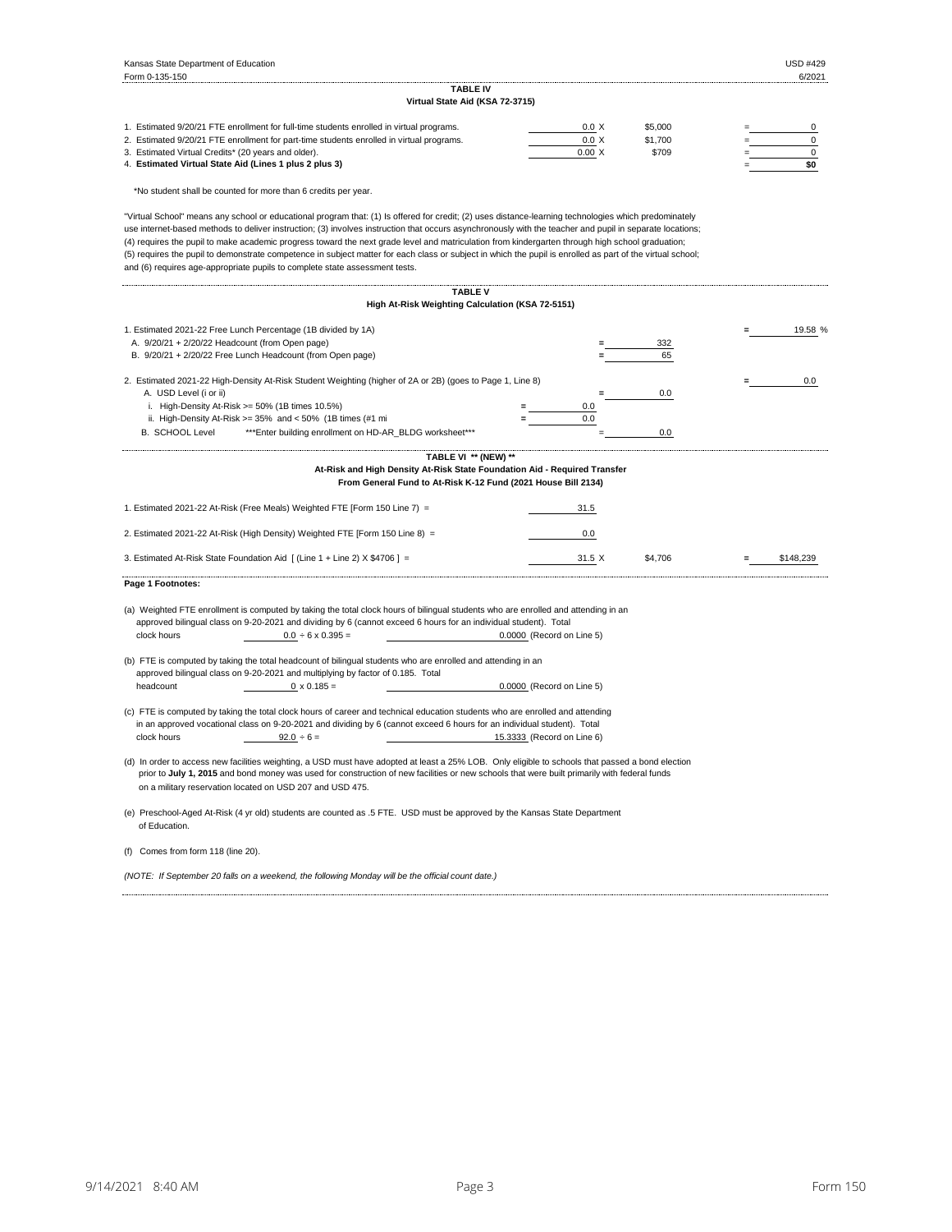| Kansas State Department of Education                                                                                                                                                                                                                                                                                                                                                                                                                                                                                                                                                                                                                                                                               |                            |                  | <b>USD #429</b>  |
|--------------------------------------------------------------------------------------------------------------------------------------------------------------------------------------------------------------------------------------------------------------------------------------------------------------------------------------------------------------------------------------------------------------------------------------------------------------------------------------------------------------------------------------------------------------------------------------------------------------------------------------------------------------------------------------------------------------------|----------------------------|------------------|------------------|
| Form 0-135-150                                                                                                                                                                                                                                                                                                                                                                                                                                                                                                                                                                                                                                                                                                     |                            |                  | 6/2021           |
| TABLE IV<br>Virtual State Aid (KSA 72-3715)                                                                                                                                                                                                                                                                                                                                                                                                                                                                                                                                                                                                                                                                        |                            |                  |                  |
| 1. Estimated 9/20/21 FTE enrollment for full-time students enrolled in virtual programs.                                                                                                                                                                                                                                                                                                                                                                                                                                                                                                                                                                                                                           |                            |                  |                  |
|                                                                                                                                                                                                                                                                                                                                                                                                                                                                                                                                                                                                                                                                                                                    | 0.0 X<br>0.0 X             | \$5,000          | 0<br>$\mathbf 0$ |
| 2. Estimated 9/20/21 FTE enrollment for part-time students enrolled in virtual programs.<br>3. Estimated Virtual Credits* (20 years and older).                                                                                                                                                                                                                                                                                                                                                                                                                                                                                                                                                                    | 0.00 X                     | \$1,700<br>\$709 | $\mathsf 0$      |
| 4. Estimated Virtual State Aid (Lines 1 plus 2 plus 3)                                                                                                                                                                                                                                                                                                                                                                                                                                                                                                                                                                                                                                                             |                            |                  | \$0              |
| *No student shall be counted for more than 6 credits per year.                                                                                                                                                                                                                                                                                                                                                                                                                                                                                                                                                                                                                                                     |                            |                  |                  |
| "Virtual School" means any school or educational program that: (1) Is offered for credit; (2) uses distance-learning technologies which predominately<br>use internet-based methods to deliver instruction; (3) involves instruction that occurs asynchronously with the teacher and pupil in separate locations;<br>(4) requires the pupil to make academic progress toward the next grade level and matriculation from kindergarten through high school graduation;<br>(5) requires the pupil to demonstrate competence in subject matter for each class or subject in which the pupil is enrolled as part of the virtual school;<br>and (6) requires age-appropriate pupils to complete state assessment tests. |                            |                  |                  |
| <b>TABLE V</b>                                                                                                                                                                                                                                                                                                                                                                                                                                                                                                                                                                                                                                                                                                     |                            |                  |                  |
| High At-Risk Weighting Calculation (KSA 72-5151)                                                                                                                                                                                                                                                                                                                                                                                                                                                                                                                                                                                                                                                                   |                            |                  |                  |
| 1. Estimated 2021-22 Free Lunch Percentage (1B divided by 1A)                                                                                                                                                                                                                                                                                                                                                                                                                                                                                                                                                                                                                                                      |                            |                  | 19.58 %          |
| A. 9/20/21 + 2/20/22 Headcount (from Open page)                                                                                                                                                                                                                                                                                                                                                                                                                                                                                                                                                                                                                                                                    |                            | 332              |                  |
| B. 9/20/21 + 2/20/22 Free Lunch Headcount (from Open page)                                                                                                                                                                                                                                                                                                                                                                                                                                                                                                                                                                                                                                                         |                            | 65               |                  |
|                                                                                                                                                                                                                                                                                                                                                                                                                                                                                                                                                                                                                                                                                                                    |                            |                  |                  |
| 2. Estimated 2021-22 High-Density At-Risk Student Weighting (higher of 2A or 2B) (goes to Page 1, Line 8)<br>A. USD Level (i or ii)                                                                                                                                                                                                                                                                                                                                                                                                                                                                                                                                                                                |                            | 0.0              | 0.0              |
| i. High-Density At-Risk $>= 50\%$ (1B times 10.5%)                                                                                                                                                                                                                                                                                                                                                                                                                                                                                                                                                                                                                                                                 | 0.0                        |                  |                  |
| ii. High-Density At-Risk $>= 35\%$ and $< 50\%$ (1B times (#1 m)                                                                                                                                                                                                                                                                                                                                                                                                                                                                                                                                                                                                                                                   | 0.0                        |                  |                  |
| <b>B. SCHOOL Level</b><br>*** Enter building enrollment on HD-AR BLDG worksheet***                                                                                                                                                                                                                                                                                                                                                                                                                                                                                                                                                                                                                                 |                            | 0.0              |                  |
|                                                                                                                                                                                                                                                                                                                                                                                                                                                                                                                                                                                                                                                                                                                    |                            |                  |                  |
| TABLE VI ** (NEW) **                                                                                                                                                                                                                                                                                                                                                                                                                                                                                                                                                                                                                                                                                               |                            |                  |                  |
| At-Risk and High Density At-Risk State Foundation Aid - Required Transfer<br>From General Fund to At-Risk K-12 Fund (2021 House Bill 2134)                                                                                                                                                                                                                                                                                                                                                                                                                                                                                                                                                                         |                            |                  |                  |
| 1. Estimated 2021-22 At-Risk (Free Meals) Weighted FTE [Form 150 Line 7) =                                                                                                                                                                                                                                                                                                                                                                                                                                                                                                                                                                                                                                         | 31.5                       |                  |                  |
| 2. Estimated 2021-22 At-Risk (High Density) Weighted FTE [Form 150 Line 8) =                                                                                                                                                                                                                                                                                                                                                                                                                                                                                                                                                                                                                                       | 0.0                        |                  |                  |
| 3. Estimated At-Risk State Foundation Aid [ (Line 1 + Line 2) X \$4706 ] =                                                                                                                                                                                                                                                                                                                                                                                                                                                                                                                                                                                                                                         | 31.5 X                     | \$4,706          | \$148,239        |
| Page 1 Footnotes:                                                                                                                                                                                                                                                                                                                                                                                                                                                                                                                                                                                                                                                                                                  |                            |                  |                  |
| (a) Weighted FTE enrollment is computed by taking the total clock hours of bilingual students who are enrolled and attending in an<br>approved bilingual class on 9-20-2021 and dividing by 6 (cannot exceed 6 hours for an individual student). Total<br>clock hours<br>$0.0 \div 6 \times 0.395 =$                                                                                                                                                                                                                                                                                                                                                                                                               | 0.0000 (Record on Line 5)  |                  |                  |
| (b) FTE is computed by taking the total headcount of bilingual students who are enrolled and attending in an<br>approved bilingual class on 9-20-2021 and multiplying by factor of 0.185. Total<br>headcount<br>$0 \times 0.185 =$                                                                                                                                                                                                                                                                                                                                                                                                                                                                                 | 0.0000 (Record on Line 5)  |                  |                  |
| (c) FTE is computed by taking the total clock hours of career and technical education students who are enrolled and attending<br>in an approved vocational class on 9-20-2021 and dividing by 6 (cannot exceed 6 hours for an individual student). Total<br>clock hours<br>$92.0 \div 6 =$                                                                                                                                                                                                                                                                                                                                                                                                                         | 15.3333 (Record on Line 6) |                  |                  |
| (d) In order to access new facilities weighting, a USD must have adopted at least a 25% LOB. Only eligible to schools that passed a bond election<br>prior to July 1, 2015 and bond money was used for construction of new facilities or new schools that were built primarily with federal funds<br>on a military reservation located on USD 207 and USD 475.                                                                                                                                                                                                                                                                                                                                                     |                            |                  |                  |
| (e) Preschool-Aged At-Risk (4 yr old) students are counted as .5 FTE. USD must be approved by the Kansas State Department<br>of Education.                                                                                                                                                                                                                                                                                                                                                                                                                                                                                                                                                                         |                            |                  |                  |
| (f) Comes from form 118 (line 20).                                                                                                                                                                                                                                                                                                                                                                                                                                                                                                                                                                                                                                                                                 |                            |                  |                  |
| (NOTE: If September 20 falls on a weekend, the following Monday will be the official count date.)                                                                                                                                                                                                                                                                                                                                                                                                                                                                                                                                                                                                                  |                            |                  |                  |